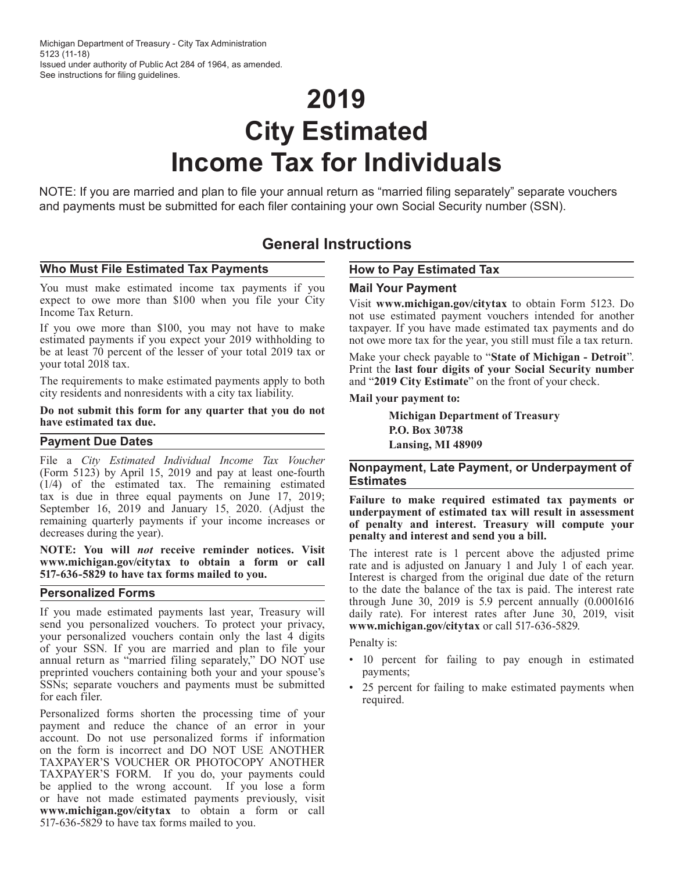# **2019 City Estimated Income Tax for Individuals**

NOTE: If you are married and plan to file your annual return as "married filing separately" separate vouchers and payments must be submitted for each filer containing your own Social Security number (SSN).

# **General Instructions**

#### **Who Must File Estimated Tax Payments**

You must make estimated income tax payments if you expect to owe more than \$100 when you file your City Income Tax Return.

If you owe more than \$100, you may not have to make estimated payments if you expect your 2019 withholding to be at least 70 percent of the lesser of your total 2019 tax or your total 2018 tax.

The requirements to make estimated payments apply to both city residents and nonresidents with a city tax liability.

#### **Do not submit this form for any quarter that you do not have estimated tax due.**

#### **Payment Due Dates**

File a *City Estimated Individual Income Tax Voucher* (Form 5123) by April 15, 2019 and pay at least one-fourth (1/4) of the estimated tax. The remaining estimated tax is due in three equal payments on June 17, 2019; September 16, 2019 and January 15, 2020. (Adjust the remaining quarterly payments if your income increases or decreases during the year).

**NOTE: You will** *not* **receive reminder notices. Visit www.michigan.gov/citytax to obtain a form or call 517-636-5829 to have tax forms mailed to you.**

#### **Personalized Forms**

If you made estimated payments last year, Treasury will send you personalized vouchers. To protect your privacy, your personalized vouchers contain only the last 4 digits of your SSN. If you are married and plan to file your annual return as "married filing separately," DO NOT use preprinted vouchers containing both your and your spouse's SSNs; separate vouchers and payments must be submitted for each filer.

Personalized forms shorten the processing time of your payment and reduce the chance of an error in your account. Do not use personalized forms if information on the form is incorrect and DO NOT USE ANOTHER TAXPAYER'S VOUCHER OR PHOTOCOPY ANOTHER TAXPAYER'S FORM. If you do, your payments could be applied to the wrong account. If you lose a form or have not made estimated payments previously, visit **www.michigan.gov/citytax** to obtain a form or call 517-636-5829 to have tax forms mailed to you.

### **How to Pay Estimated Tax**

#### **Mail Your Payment**

Visit **www.michigan.gov/citytax** to obtain Form 5123. Do not use estimated payment vouchers intended for another taxpayer. If you have made estimated tax payments and do not owe more tax for the year, you still must file a tax return.

Make your check payable to "**State of Michigan - Detroit**". Print the **last four digits of your Social Security number** and "**2019 City Estimate**" on the front of your check.

#### **Mail your payment to:**

**Michigan Department of Treasury P.O. Box 30738 Lansing, MI 48909**

#### **Nonpayment, Late Payment, or Underpayment of Estimates**

**Failure to make required estimated tax payments or underpayment of estimated tax will result in assessment of penalty and interest. Treasury will compute your penalty and interest and send you a bill.**

The interest rate is 1 percent above the adjusted prime rate and is adjusted on January 1 and July 1 of each year. Interest is charged from the original due date of the return to the date the balance of the tax is paid. The interest rate through June 30, 2019 is 5.9 percent annually (0.0001616 daily rate). For interest rates after June 30, 2019, visit **www.michigan.gov/citytax** or call 517-636-5829.

Penalty is:

- 10 percent for failing to pay enough in estimated payments;
- 25 percent for failing to make estimated payments when required.